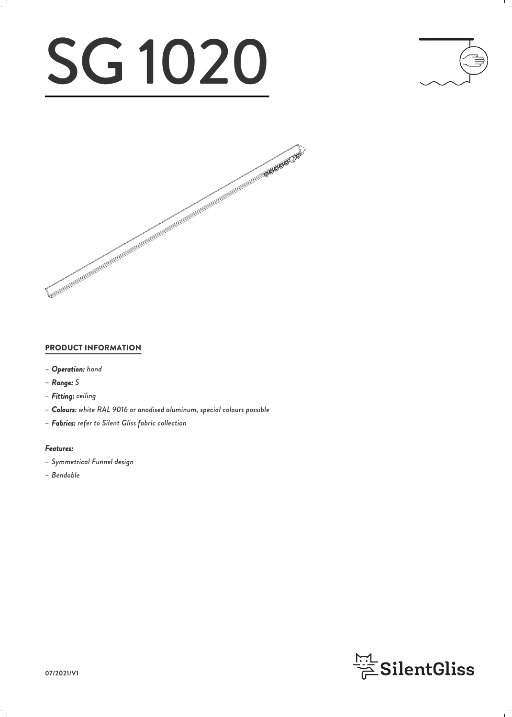# SG 1020





#### PRODUCT INFORMATION

- *– Operation: hand*
- *– Range: S*
- *– Fitting: ceiling*
- *– Colours: white RAL 9016 or anodised aluminum, special colours possible*
- *– Fabrics: refer to Silent Gliss fabric collection*

#### *Features:*

- *– Symmetrical Funnel design*
- *– Bendable*

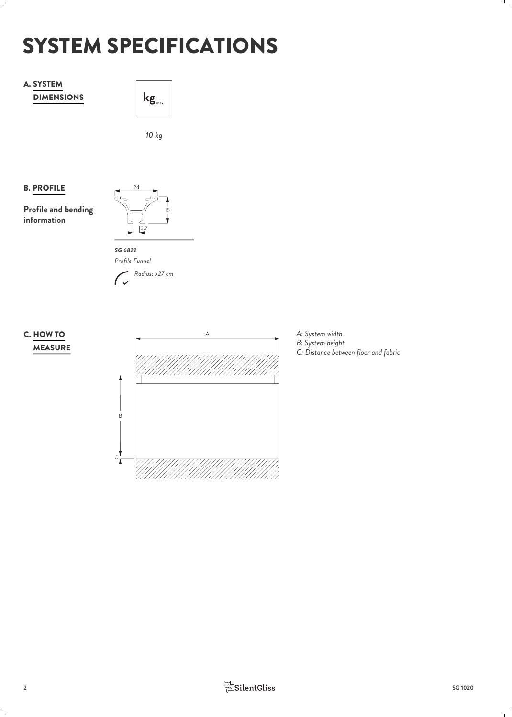# SYSTEM SPECIFICATIONS



- *A: System width*
- *B: System height*
- *C: Distance between floor and fabric*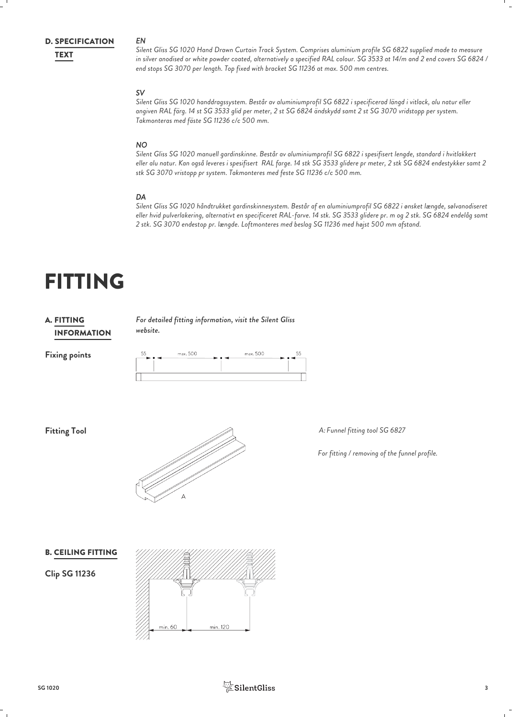*EN Silent Gliss SG 1020 Hand Drawn Curtain Track System. Comprises aluminium profile SG 6822 supplied made to measure in silver anodised or white powder coated, alternatively a specified RAL colour. SG 3533 at 14/m and 2 end covers SG 6824 /* TEXT *end stops SG 3070 per length. Top fixed with bracket SG 11236 at max. 500 mm centres.*

## *SV*

*Silent Gliss SG 1020 handdragssystem. Består av aluminiumprofil SG 6822 i specificerad längd i vitlack, alu natur eller angiven RAL färg. 14 st SG 3533 glid per meter, 2 st SG 6824 ändskydd samt 2 st SG 3070 vridstopp per system. Takmonteras med fäste SG 11236 c/c 500 mm.*

#### *NO*

*Silent Gliss SG 1020 manuell gardinskinne. Består av aluminiumprofil SG 6822 i spesifisert lengde, standard i hvitlakkert eller alu natur. Kan også leveres i spesifisert RAL farge. 14 stk SG 3533 glidere pr meter, 2 stk SG 6824 endestykker samt 2 stk SG 3070 vristopp pr system. Takmonteres med feste SG 11236 c/c 500 mm.*

#### *DA*

*Silent Gliss SG 1020 håndtrukket gardinskinnesystem. Består af en aluminiumprofil SG 6822 i ønsket længde, sølvanodiseret eller hvid pulverlakering, alternativt en specificeret RAL-farve. 14 stk. SG 3533 glidere pr. m og 2 stk. SG 6824 endelåg samt 2 stk. SG 3070 endestop pr. længde. Loftmonteres med beslag SG 11236 med højst 500 mm afstand.*

# FITTING

### INFORMATION **A. FITTING**

*For detailed fitting information, visit the Silent Gliss* FITTING *website.*

**Fixing points**

| max. 500 |       | max. 500 |  |
|----------|-------|----------|--|
|          | ► • ⊲ |          |  |
|          |       |          |  |
|          |       |          |  |
|          |       |          |  |
|          |       |          |  |



*For fitting / removing of the funnel profile.*

#### B. CEILING FITTING

**Clip SG 11236**

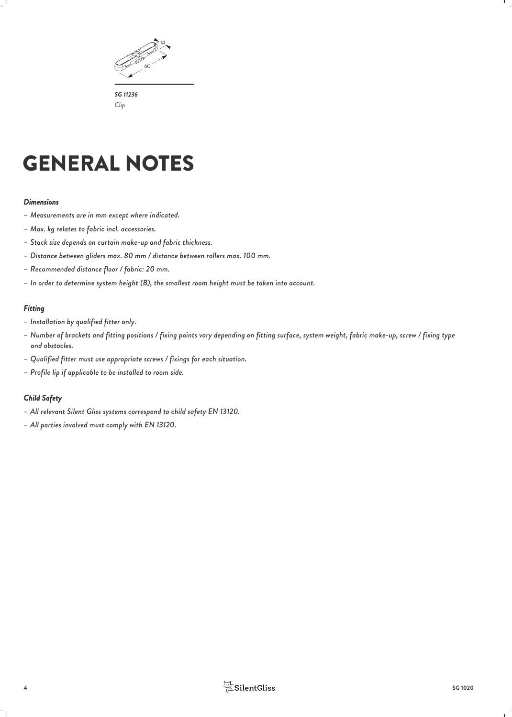

*Clip*

# GENERAL NOTES

#### *Dimensions*

- *– Measurements are in mm except where indicated.*
- *– Max. kg relates to fabric incl. accessories.*
- *– Stack size depends on curtain make-up and fabric thickness.*
- *– Distance between gliders max. 80 mm / distance between rollers max. 100 mm.*
- *– Recommended distance floor / fabric: 20 mm.*
- *– In order to determine system height (B), the smallest room height must be taken into account.*

#### *Fitting*

- *– Installation by qualified fitter only.*
- *– Number of brackets and fitting positions / fixing points vary depending on fitting surface, system weight, fabric make-up, screw / fixing type and obstacles.*
- *– Qualified fitter must use appropriate screws / fixings for each situation.*
- *– Profile lip if applicable to be installed to room side.*

#### *Child Safety*

- *– All relevant Silent Gliss systems correspond to child safety EN 13120.*
- *– All parties involved must comply with EN 13120.*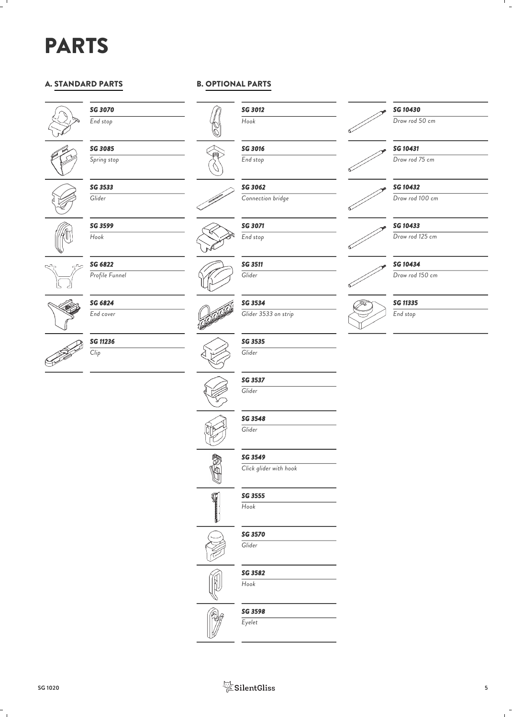# PARTS

### A. STANDARD PARTS



### *SG 3070 End stop*

*SG 3085 Spring stop*



*SG 3533 Glider*

*SG 3599 Hook*



*SG 6822 Profile Funnel*



*SG 6824 End cover*



*Clip*



*SG 11236*



## B. OPTIONAL PARTS

*SG 3012 Hook*

*SG 3016 End stop*

*SG 3062 Connection bridge*

*SG 3071 End stop*

*SG 3511 Glider*





























*SG 3537 Glider*





*Click glider with hook*



# *SG 3570*



## *SG 10430*

*Draw rod 50 cm*

#### *SG 10431*

*Draw rod 75 cm*

## *SG 10432*

*Draw rod 100 cm*

## *SG 10433*

*Draw rod 125 cm*



### *SG 10434*

*Draw rod 150 cm*



#### *SG 11335*

*End stop*

SG 1020 **SG 1020 5** 



*SG 3534 Glider 3533 on strip*

*SG 3535*

*Glider*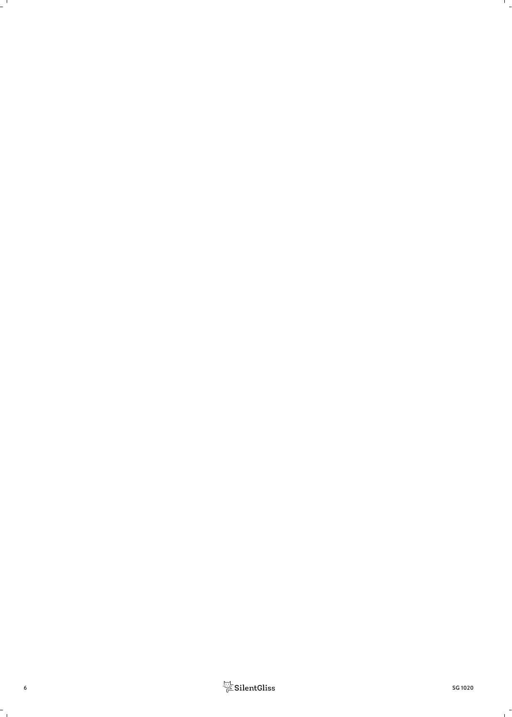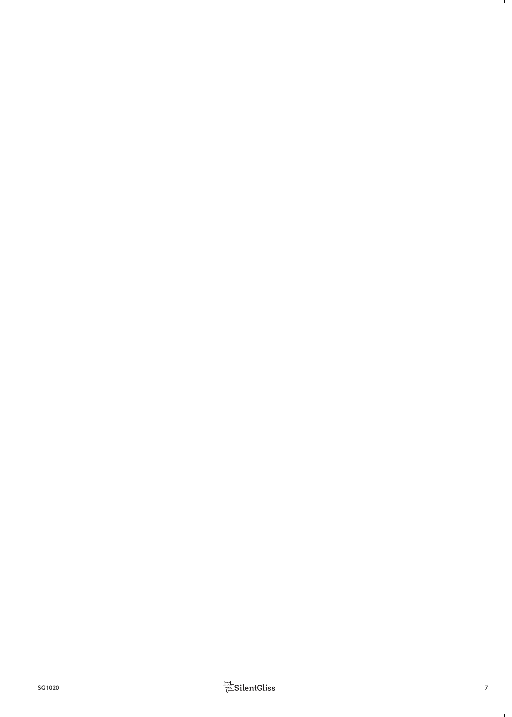

 $\overline{7}$